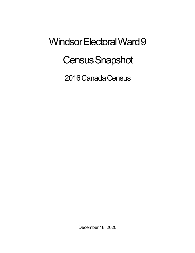## Windsor Electoral Ward 9 **Census Snapshot**

2016 Canada Census

December 18, 2020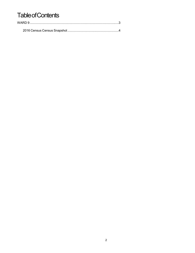## **Table of Contents**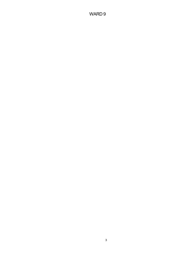## WARD 9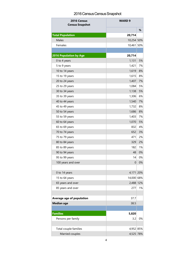## 2016 Census Census Snapshot

| 2016 Census<br><b>Census Snapshot</b> | <b>WARD 9</b> |    |
|---------------------------------------|---------------|----|
|                                       |               | %  |
| <b>Total Population</b>               | 20,714        |    |
| Males                                 | 10,254 50%    |    |
| Females                               | 10,461 50%    |    |
|                                       |               |    |
| <b>2016 Population by Age</b>         | 20,714        |    |
| 0 to 4 years                          | 1,131         | 5% |
| 5 to 9 years                          | 1,421         | 7% |
| 10 to 14 years                        | 1,619         | 8% |
| 15 to 19 years                        | 1,615         | 8% |
| 20 to 24 years                        | 1,407         | 7% |
| 25 to 29 years                        | 1,084         | 5% |
| 30 to 34 years                        | 1,138         | 5% |
| 35 to 39 years                        | 1,306         | 6% |
| 40 to 44 years                        | 1,540         | 7% |
| 45 to 49 years                        | 1,732         | 8% |
| 50 to 54 years                        | 1,686         | 8% |
| 55 to 59 years                        | 1,403         | 7% |
| 60 to 64 years                        | 1,070         | 5% |
| 65 to 69 years                        | 832           | 4% |
| 70 to 74 years                        | 652           | 3% |
| 75 to 79 years                        | 471           | 2% |
| 80 to 84 years                        | 329           | 2% |
| 85 to 89 years                        | 182           | 1% |
| 90 to 94 years                        | 48            | 0% |
| 95 to 99 years                        | 14            | 0% |
| 100 years and over                    | $\mathbf{0}$  | 0% |
|                                       |               |    |
| 0 to 14 years                         | 4,171 20%     |    |
| 15 to 64 years                        | 14,000 68%    |    |
| 65 years and over                     | 2,488 12%     |    |
| 85 years and over                     | 277           | 1% |
|                                       |               |    |
| Average age of population             | 37.7          |    |
| <b>Median age</b>                     | 38.5          |    |
|                                       |               |    |
| <b>Families</b>                       | 5,820         |    |
| Persons per family                    | 3.2           | 0% |
|                                       |               |    |
| Total couple families                 | 4,952 85%     |    |
| Married couples                       | 4,525 78%     |    |